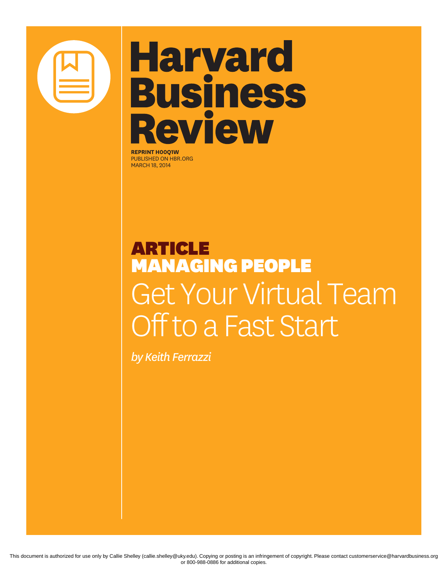

# **Harvard Business Review**

**REPRINT H00Q1W** PUBLISHED ON HBR.ORG MARCH 18, 2014

### ARTICLE MANAGING PEOPLE Get Your Virtual Team Off to a Fast Start

*by Keith Ferrazzi*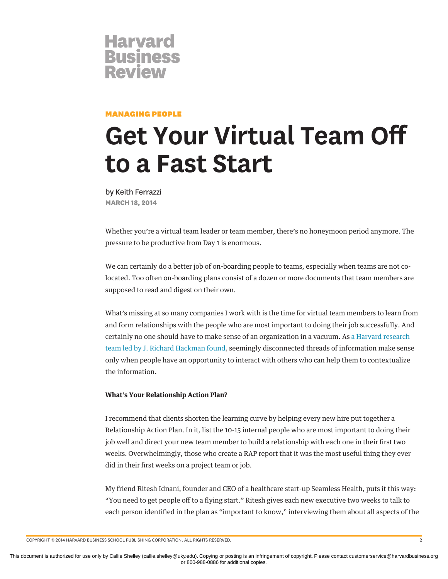

### MANAGING PEOPLE

## **Get Your Virtual Team Off to a Fast Start**

by Keith Ferrazzi **MARCH 18, 2014**

Whether you're a virtual team leader or team member, there's no honeymoon period anymore. The pressure to be productive from Day 1 is enormous.

We can certainly do a better job of on-boarding people to teams, especially when teams are not colocated. Too often on-boarding plans consist of a dozen or more documents that team members are supposed to read and digest on their own.

What's missing at so many companies I work with is the time for virtual team members to learn from and form relationships with the people who are most important to doing their job successfully. And certainly no one should have to make sense of an organization in a vacuum. As [a Harvard research](https://hbr.org/product/leading-teams-setting-the-stage-for-great-performances/an/3332-HBK-ENG) [team led by J. Richard Hackman found](https://hbr.org/product/leading-teams-setting-the-stage-for-great-performances/an/3332-HBK-ENG), seemingly disconnected threads of information make sense only when people have an opportunity to interact with others who can help them to contextualize the information.

#### **What's Your Relationship Action Plan?**

I recommend that clients shorten the learning curve by helping every new hire put together a Relationship Action Plan. In it, list the 10-15 internal people who are most important to doing their job well and direct your new team member to build a relationship with each one in their first two weeks. Overwhelmingly, those who create a RAP report that it was the most useful thing they ever did in their first weeks on a project team or job.

My friend Ritesh Idnani, founder and CEO of a healthcare start-up Seamless Health, puts it this way: "You need to get people off to a flying start." Ritesh gives each new executive two weeks to talk to each person identified in the plan as "important to know," interviewing them about all aspects of the

COPYRIGHT © 2014 HARVARD BUSINESS SCHOOL PUBLISHING CORPORATION. ALL RIGHTS RESERVED. 2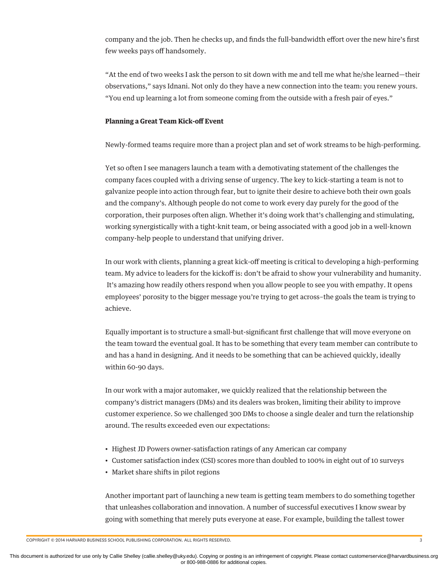company and the job. Then he checks up, and finds the full-bandwidth effort over the new hire's first few weeks pays off handsomely.

"At the end of two weeks I ask the person to sit down with me and tell me what he/she learned—their observations," says Idnani. Not only do they have a new connection into the team: you renew yours. "You end up learning a lot from someone coming from the outside with a fresh pair of eyes."

### **Planning a Great Team Kick-off Event**

Newly-formed teams require more than a project plan and set of work streams to be high-performing.

Yet so often I see managers launch a team with a demotivating statement of the challenges the company faces coupled with a driving sense of urgency. The key to kick-starting a team is not to galvanize people into action through fear, but to ignite their desire to achieve both their own goals and the company's. Although people do not come to work every day purely for the good of the corporation, their purposes often align. Whether it's doing work that's challenging and stimulating, working synergistically with a tight-knit team, or being associated with a good job in a well-known company-help people to understand that unifying driver.

In our work with clients, planning a great kick-off meeting is critical to developing a high-performing team. My advice to leaders for the kickoff is: don't be afraid to show your vulnerability and humanity. It's amazing how readily others respond when you allow people to see you with empathy. It opens employees' porosity to the bigger message you're trying to get across–the goals the team is trying to achieve.

Equally important is to structure a small-but-significant first challenge that will move everyone on the team toward the eventual goal. It has to be something that every team member can contribute to and has a hand in designing. And it needs to be something that can be achieved quickly, ideally within 60-90 days.

In our work with a major automaker, we quickly realized that the relationship between the company's district managers (DMs) and its dealers was broken, limiting their ability to improve customer experience. So we challenged 300 DMs to choose a single dealer and turn the relationship around. The results exceeded even our expectations:

- Highest JD Powers owner-satisfaction ratings of any American car company
- Customer satisfaction index (CSI) scores more than doubled to 100% in eight out of 10 surveys
- Market share shifts in pilot regions

Another important part of launching a new team is getting team members to do something together that unleashes collaboration and innovation. A number of successful executives I know swear by going with something that merely puts everyone at ease. For example, building the tallest tower

COPYRIGHT © 2014 HARVARD BUSINESS SCHOOL PUBLISHING CORPORATION. ALL RIGHTS RESERVED. 3